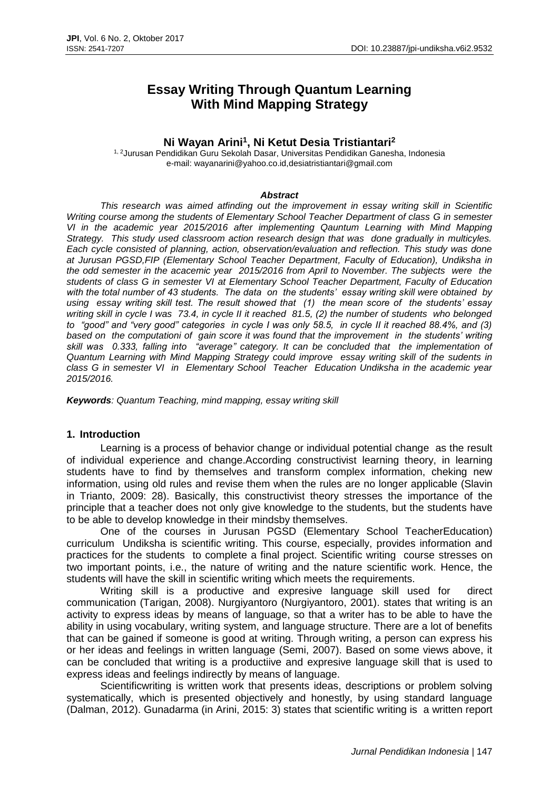# **Essay Writing Through Quantum Learning With Mind Mapping Strategy**

# **Ni Wayan Arini<sup>1</sup> , Ni Ketut Desia Tristiantari<sup>2</sup>**

1, <sup>2</sup>Jurusan Pendidikan Guru Sekolah Dasar, Universitas Pendidikan Ganesha, Indonesia e-mail: wayanarini@yahoo.co.id,desiatristiantari@gmail.com

#### *Abstract*

*This research was aimed atfinding out the improvement in essay writing skill in Scientific Writing course among the students of Elementary School Teacher Department of class G in semester VI in the academic year 2015/2016 after implementing Qauntum Learning with Mind Mapping Strategy. This study used classroom action research design that was done gradually in multicyles. Each cycle consisted of planning, action, observation/evaluation and reflection. This study was done at Jurusan PGSD,FIP (Elementary School Teacher Department, Faculty of Education), Undiksha in the odd semester in the acacemic year 2015/2016 from April to November. The subjects were the students of class G in semester VI at Elementary School Teacher Department, Faculty of Education with the total number of 43 students. The data on the students' essay writing skill were obtained by using essay writing skill test. The result showed that (1) the mean score of the students' essay writing skill in cycle I was 73.4, in cycle II it reached 81.5, (2) the number of students who belonged to "good" and "very good" categories in cycle I was only 58.5, in cycle II it reached 88.4%, and (3) based on the computationi of gain score it was found that the improvement in the students' writing skill was 0.333, falling into "average" category. It can be concluded that the implementation of Quantum Learning with Mind Mapping Strategy could improve essay writing skill of the sudents in class G in semester VI in Elementary School Teacher Education Undiksha in the academic year 2015/2016.* 

*Keywords: Quantum Teaching, mind mapping, essay writing skill*

#### **1. Introduction**

Learning is a process of behavior change or individual potential change as the result of individual experience and change.According constructivist learning theory, in learning students have to find by themselves and transform complex information, cheking new information, using old rules and revise them when the rules are no longer applicable (Slavin in Trianto, 2009: 28). Basically, this constructivist theory stresses the importance of the principle that a teacher does not only give knowledge to the students, but the students have to be able to develop knowledge in their mindsby themselves.

One of the courses in Jurusan PGSD (Elementary School TeacherEducation) curriculum Undiksha is scientific writing. This course, especially, provides information and practices for the students to complete a final project. Scientific writing course stresses on two important points, i.e., the nature of writing and the nature scientific work. Hence, the students will have the skill in scientific writing which meets the requirements.

Writing skill is a productive and expresive language skill used for direct communication (Tarigan, 2008). Nurgiyantoro (Nurgiyantoro, 2001). states that writing is an activity to express ideas by means of language, so that a writer has to be able to have the ability in using vocabulary, writing system, and language structure. There are a lot of benefits that can be gained if someone is good at writing. Through writing, a person can express his or her ideas and feelings in written language (Semi, 2007). Based on some views above, it can be concluded that writing is a productiive and expresive language skill that is used to express ideas and feelings indirectly by means of language.

Scientificwriting is written work that presents ideas, descriptions or problem solving systematically, which is presented objectively and honestly, by using standard language (Dalman, 2012). Gunadarma (in Arini, 2015: 3) states that scientific writing is a written report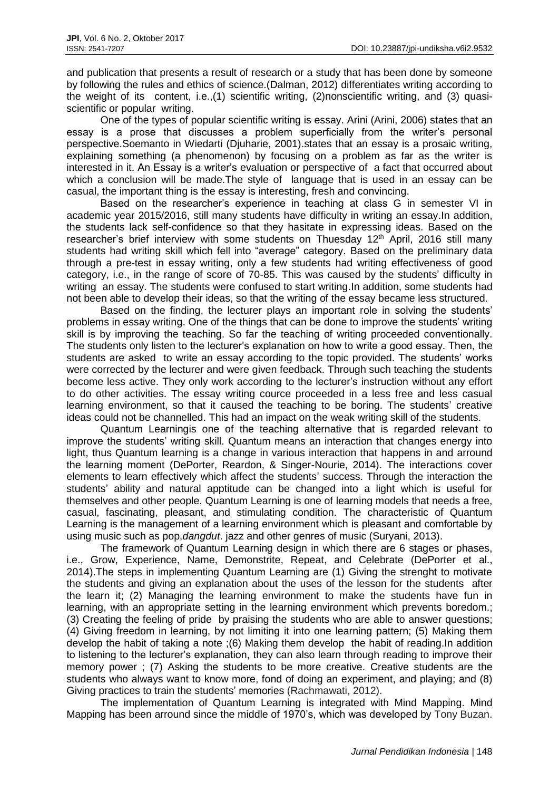and publication that presents a result of research or a study that has been done by someone by following the rules and ethics of science.(Dalman, 2012) differentiates writing according to the weight of its content, i.e.,(1) scientific writing, (2)nonscientific writing, and (3) quasiscientific or popular writing.

One of the types of popular scientific writing is essay. Arini (Arini, 2006) states that an essay is a prose that discusses a problem superficially from the writer's personal perspective.Soemanto in Wiedarti (Djuharie, 2001).states that an essay is a prosaic writing, explaining something (a phenomenon) by focusing on a problem as far as the writer is interested in it. An Essay is a writer's evaluation or perspective of a fact that occurred about which a conclusion will be made.The style of language that is used in an essay can be casual, the important thing is the essay is interesting, fresh and convincing.

Based on the researcher's experience in teaching at class G in semester VI in academic year 2015/2016, still many students have difficulty in writing an essay.In addition, the students lack self-confidence so that they hasitate in expressing ideas. Based on the researcher's brief interview with some students on Thuesday 12<sup>th</sup> April, 2016 still many students had writing skill which fell into "average" category. Based on the preliminary data through a pre-test in essay writing, only a few students had writing effectiveness of good category, i.e., in the range of score of 70-85. This was caused by the students' difficulty in writing an essay. The students were confused to start writing.In addition, some students had not been able to develop their ideas, so that the writing of the essay became less structured.

Based on the finding, the lecturer plays an important role in solving the students' problems in essay writing. One of the things that can be done to improve the students' writing skill is by improving the teaching. So far the teaching of writing proceeded conventionally. The students only listen to the lecturer's explanation on how to write a good essay. Then, the students are asked to write an essay according to the topic provided. The students' works were corrected by the lecturer and were given feedback. Through such teaching the students become less active. They only work according to the lecturer's instruction without any effort to do other activities. The essay writing cource proceeded in a less free and less casual learning environment, so that it caused the teaching to be boring. The students' creative ideas could not be channelled. This had an impact on the weak writing skill of the students.

Quantum Learningis one of the teaching alternative that is regarded relevant to improve the students' writing skill. Quantum means an interaction that changes energy into light, thus Quantum learning is a change in various interaction that happens in and arround the learning moment (DePorter, Reardon, & Singer-Nourie, 2014). The interactions cover elements to learn effectively which affect the students' success. Through the interaction the students' ability and natural apptitude can be changed into a light which is useful for themselves and other people. Quantum Learning is one of learning models that needs a free, casual, fascinating, pleasant, and stimulating condition. The characteristic of Quantum Learning is the management of a learning environment which is pleasant and comfortable by using music such as pop,*dangdut*. jazz and other genres of music (Suryani, 2013).

The framework of Quantum Learning design in which there are 6 stages or phases, i.e., Grow, Experience, Name, Demonstrite, Repeat, and Celebrate (DePorter et al., 2014).The steps in implementing Quantum Learning are (1) Giving the strenght to motivate the students and giving an explanation about the uses of the lesson for the students after the learn it; (2) Managing the learning environment to make the students have fun in learning, with an appropriate setting in the learning environment which prevents boredom.; (3) Creating the feeling of pride by praising the students who are able to answer questions; (4) Giving freedom in learning, by not limiting it into one learning pattern; (5) Making them develop the habit of taking a note ;(6) Making them develop the habit of reading.In addition to listening to the lecturer's explanation, they can also learn through reading to improve their memory power ; (7) Asking the students to be more creative. Creative students are the students who always want to know more, fond of doing an experiment, and playing; and (8) Giving practices to train the students' memories (Rachmawati, 2012).

The implementation of Quantum Learning is integrated with Mind Mapping. Mind Mapping has been arround since the middle of 1970's, which was developed by Tony Buzan.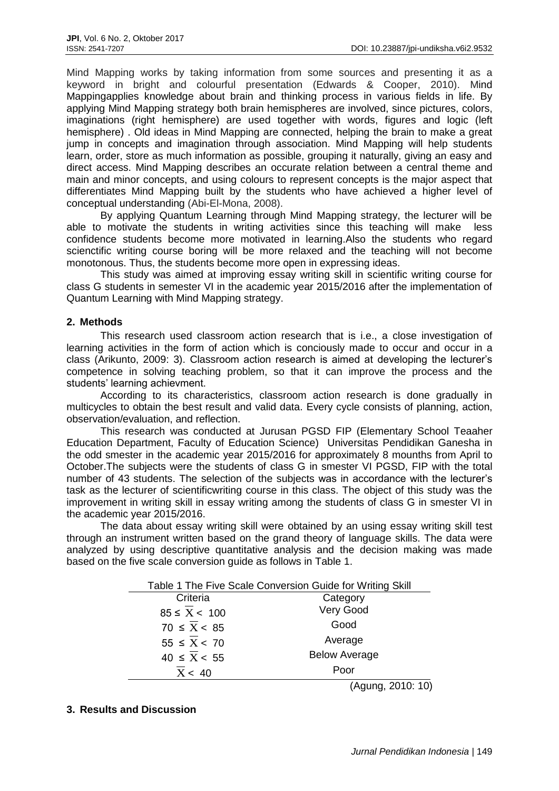Mind Mapping works by taking information from some sources and presenting it as a keyword in bright and colourful presentation (Edwards & Cooper, 2010). Mind Mappingapplies knowledge about brain and thinking process in various fields in life. By applying Mind Mapping strategy both brain hemispheres are involved, since pictures, colors, imaginations (right hemisphere) are used together with words, figures and logic (left hemisphere) . Old ideas in Mind Mapping are connected, helping the brain to make a great jump in concepts and imagination through association. Mind Mapping will help students learn, order, store as much information as possible, grouping it naturally, giving an easy and direct access. Mind Mapping describes an occurate relation between a central theme and main and minor concepts, and using colours to represent concepts is the major aspect that differentiates Mind Mapping built by the students who have achieved a higher level of conceptual understanding (Abi-El-Mona, 2008).

By applying Quantum Learning through Mind Mapping strategy, the lecturer will be able to motivate the students in writing activities since this teaching will make less confidence students become more motivated in learning.Also the students who regard scienctific writing course boring will be more relaxed and the teaching will not become monotonous. Thus, the students become more open in expressing ideas.

This study was aimed at improving essay writing skill in scientific writing course for class G students in semester VI in the academic year 2015/2016 after the implementation of Quantum Learning with Mind Mapping strategy.

## **2. Methods**

This research used classroom action research that is i.e., a close investigation of learning activities in the form of action which is conciously made to occur and occur in a class (Arikunto, 2009: 3). Classroom action research is aimed at developing the lecturer's competence in solving teaching problem, so that it can improve the process and the students' learning achievment.

According to its characteristics, classroom action research is done gradually in multicycles to obtain the best result and valid data. Every cycle consists of planning, action, observation/evaluation, and reflection.

This research was conducted at Jurusan PGSD FIP (Elementary School Teaaher Education Department, Faculty of Education Science) Universitas Pendidikan Ganesha in the odd smester in the academic year 2015/2016 for approximately 8 mounths from April to October.The subjects were the students of class G in smester VI PGSD, FIP with the total number of 43 students. The selection of the subjects was in accordance with the lecturer's task as the lecturer of scientificwriting course in this class. The object of this study was the improvement in writing skill in essay writing among the students of class G in smester VI in the academic year 2015/2016.

The data about essay writing skill were obtained by an using essay writing skill test through an instrument written based on the grand theory of language skills. The data were analyzed by using descriptive quantitative analysis and the decision making was made based on the five scale conversion guide as follows in Table 1.

| Table 1 The Five Scale Conversion Guide for Writing Skill |                      |  |  |  |
|-----------------------------------------------------------|----------------------|--|--|--|
| Criteria                                                  | Category             |  |  |  |
| $85 \le X < 100$                                          | Very Good            |  |  |  |
| $70 \le X < 85$                                           | Good                 |  |  |  |
| $55 \le X < 70$                                           | Average              |  |  |  |
| 40 $\leq \overline{X}$ < 55                               | <b>Below Average</b> |  |  |  |
| X < 40                                                    | Poor                 |  |  |  |
|                                                           | (Agung, 2010: 10)    |  |  |  |

#### **3. Results and Discussion**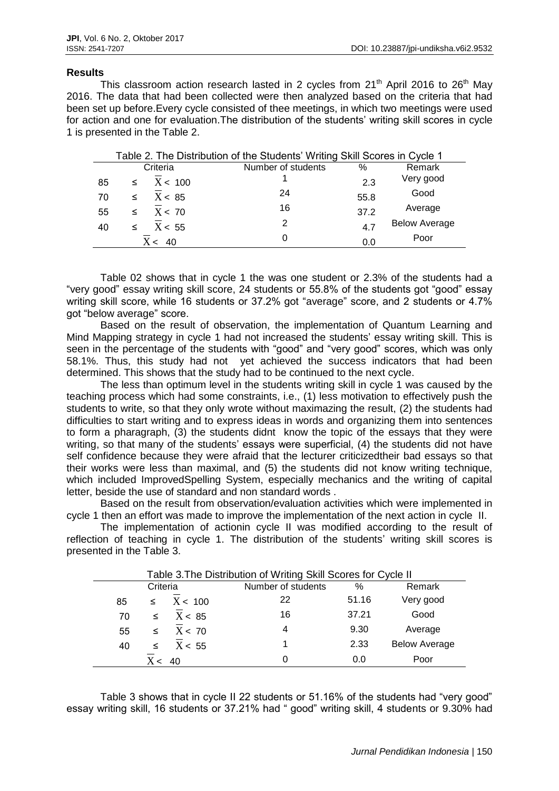#### **Results**

This classroom action research lasted in 2 cycles from  $21<sup>th</sup>$  April 2016 to  $26<sup>th</sup>$  May 2016. The data that had been collected were then analyzed based on the criteria that had been set up before.Every cycle consisted of thee meetings, in which two meetings were used for action and one for evaluation.The distribution of the students' writing skill scores in cycle 1 is presented in the Table 2.

|        | Table 2. The Distribution of the Students' Writing Skill Scores in Cycle 1 |         |                    |      |                      |  |  |  |
|--------|----------------------------------------------------------------------------|---------|--------------------|------|----------------------|--|--|--|
|        | Criteria                                                                   |         | Number of students | %    | Remark               |  |  |  |
| 85     | $\leq$                                                                     | X < 100 |                    | 2.3  | Very good            |  |  |  |
| 70     | $\prec$                                                                    | X < 85  | 24                 | 55.8 | Good                 |  |  |  |
| 55     | $\prec$                                                                    | X < 70  | 16                 | 37.2 | Average              |  |  |  |
| 40     |                                                                            | X < 55  | 2                  | 4.7  | <b>Below Average</b> |  |  |  |
| X < 40 |                                                                            |         | 0                  | 0.0  | Poor                 |  |  |  |

Table 02 shows that in cycle 1 the was one student or 2.3% of the students had a "very good" essay writing skill score, 24 students or 55.8% of the students got "good" essay writing skill score, while 16 students or 37.2% got "average" score, and 2 students or 4.7% got "below average" score.

Based on the result of observation, the implementation of Quantum Learning and Mind Mapping strategy in cycle 1 had not increased the students' essay writing skill. This is seen in the percentage of the students with "good" and "very good" scores, which was only 58.1%. Thus, this study had not yet achieved the success indicators that had been determined. This shows that the study had to be continued to the next cycle.

The less than optimum level in the students writing skill in cycle 1 was caused by the teaching process which had some constraints, i.e., (1) less motivation to effectively push the students to write, so that they only wrote without maximazing the result, (2) the students had difficulties to start writing and to express ideas in words and organizing them into sentences to form a pharagraph, (3) the students didnt know the topic of the essays that they were writing, so that many of the students' essays were superficial, (4) the students did not have self confidence because they were afraid that the lecturer criticizedtheir bad essays so that their works were less than maximal, and (5) the students did not know writing technique, which included ImprovedSpelling System, especially mechanics and the writing of capital letter, beside the use of standard and non standard words .

Based on the result from observation/evaluation activities which were implemented in cycle 1 then an effort was made to improve the implementation of the next action in cycle II.

The implementation of actionin cycle II was modified according to the result of reflection of teaching in cycle 1. The distribution of the students' writing skill scores is presented in the Table 3.

| Table 3. The Distribution of Writing Skill Scores for Cycle II |        |                 |                    |       |                      |  |
|----------------------------------------------------------------|--------|-----------------|--------------------|-------|----------------------|--|
| Criteria                                                       |        |                 | Number of students | $\%$  | Remark               |  |
| 85                                                             | $\leq$ | X < 100         | 22                 | 51.16 | Very good            |  |
| 70                                                             | $\leq$ | X < 85          | 16                 | 37.21 | Good                 |  |
| 55                                                             |        | $\leq$ $X < 70$ | 4                  | 9.30  | Average              |  |
| 40                                                             | $\leq$ | X < 55          |                    | 2.33  | <b>Below Average</b> |  |
| 40                                                             |        |                 | 0                  | 0.0   | Poor                 |  |

Table 3 shows that in cycle II 22 students or 51.16% of the students had "very good" essay writing skill, 16 students or 37.21% had " good" writing skill, 4 students or 9.30% had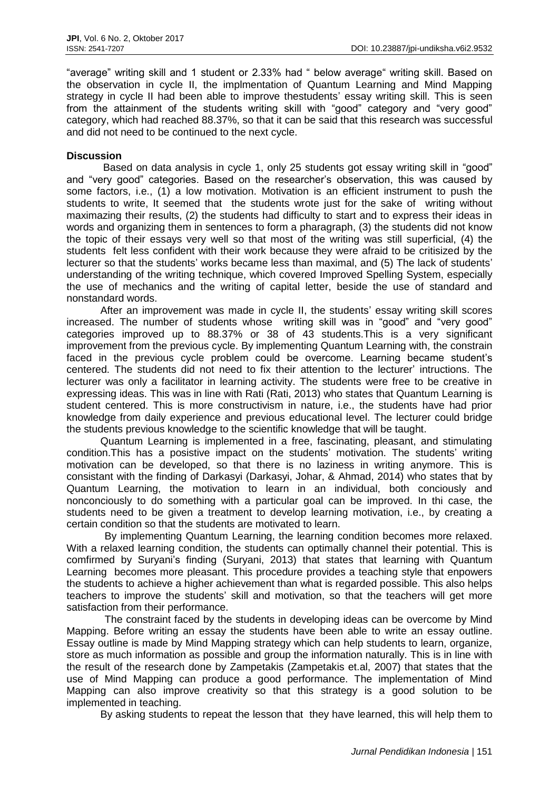"average" writing skill and 1 student or 2.33% had " below average" writing skill. Based on the observation in cycle II, the implmentation of Quantum Learning and Mind Mapping strategy in cycle II had been able to improve thestudents' essay writing skill. This is seen from the attainment of the students writing skill with "good" category and "very good" category, which had reached 88.37%, so that it can be said that this research was successful and did not need to be continued to the next cycle.

# **Discussion**

Based on data analysis in cycle 1, only 25 students got essay writing skill in "good" and "very good" categories. Based on the researcher's observation, this was caused by some factors, i.e., (1) a low motivation. Motivation is an efficient instrument to push the students to write, It seemed that the students wrote just for the sake of writing without maximazing their results, (2) the students had difficulty to start and to express their ideas in words and organizing them in sentences to form a pharagraph, (3) the students did not know the topic of their essays very well so that most of the writing was still superficial, (4) the students felt less confident with their work because they were afraid to be critisized by the lecturer so that the students' works became less than maximal, and (5) The lack of students' understanding of the writing technique, which covered Improved Spelling System, especially the use of mechanics and the writing of capital letter, beside the use of standard and nonstandard words.

After an improvement was made in cycle II, the students' essay writing skill scores increased. The number of students whose writing skill was in "good" and "very good" categories improved up to 88.37% or 38 of 43 students.This is a very significant improvement from the previous cycle. By implementing Quantum Learning with, the constrain faced in the previous cycle problem could be overcome. Learning became student's centered. The students did not need to fix their attention to the lecturer' intructions. The lecturer was only a facilitator in learning activity. The students were free to be creative in expressing ideas. This was in line with Rati (Rati, 2013) who states that Quantum Learning is student centered. This is more constructivism in nature, i.e., the students have had prior knowledge from daily experience and previous educational level. The lecturer could bridge the students previous knowledge to the scientific knowledge that will be taught.

Quantum Learning is implemented in a free, fascinating, pleasant, and stimulating condition.This has a posistive impact on the students' motivation. The students' writing motivation can be developed, so that there is no laziness in writing anymore. This is consistant with the finding of Darkasyi (Darkasyi, Johar, & Ahmad, 2014) who states that by Quantum Learning, the motivation to learn in an individual, both conciously and nonconciously to do something with a particular goal can be improved. In thi case, the students need to be given a treatment to develop learning motivation, i.e., by creating a certain condition so that the students are motivated to learn.

By implementing Quantum Learning, the learning condition becomes more relaxed. With a relaxed learning condition, the students can optimally channel their potential. This is comfirmed by Suryani's finding (Suryani, 2013) that states that learning with Quantum Learning becomes more pleasant. This procedure provides a teaching style that enpowers the students to achieve a higher achievement than what is regarded possible. This also helps teachers to improve the students' skill and motivation, so that the teachers will get more satisfaction from their performance.

The constraint faced by the students in developing ideas can be overcome by Mind Mapping. Before writing an essay the students have been able to write an essay outline. Essay outline is made by Mind Mapping strategy which can help students to learn, organize, store as much information as possible and group the information naturally. This is in line with the result of the research done by Zampetakis (Zampetakis et.al, 2007) that states that the use of Mind Mapping can produce a good performance. The implementation of Mind Mapping can also improve creativity so that this strategy is a good solution to be implemented in teaching.

By asking students to repeat the lesson that they have learned, this will help them to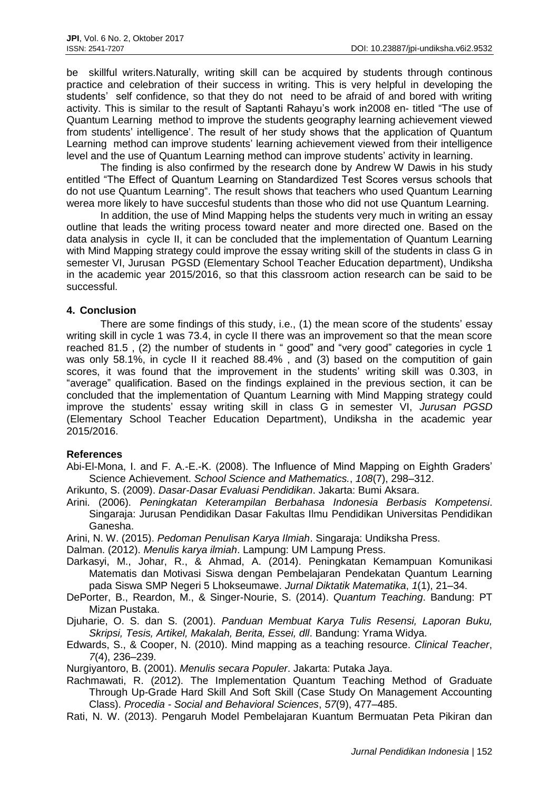be skillful writers.Naturally, writing skill can be acquired by students through continous practice and celebration of their success in writing. This is very helpful in developing the students' self confidence, so that they do not need to be afraid of and bored with writing activity. This is similar to the result of Saptanti Rahayu's work in2008 en- titled "The use of Quantum Learning method to improve the students geography learning achievement viewed from students' intelligence'. The result of her study shows that the application of Quantum Learning method can improve students' learning achievement viewed from their intelligence level and the use of Quantum Learning method can improve students' activity in learning.

The finding is also confirmed by the research done by Andrew W Dawis in his study entitled "The Effect of Quantum Learning on Standardized Test Scores versus schools that do not use Quantum Learning". The result shows that teachers who used Quantum Learning werea more likely to have succesful students than those who did not use Quantum Learning.

In addition, the use of Mind Mapping helps the students very much in writing an essay outline that leads the writing process toward neater and more directed one. Based on the data analysis in cycle II, it can be concluded that the implementation of Quantum Learning with Mind Mapping strategy could improve the essay writing skill of the students in class G in semester VI, Jurusan PGSD (Elementary School Teacher Education department), Undiksha in the academic year 2015/2016, so that this classroom action research can be said to be successful.

## **4. Conclusion**

There are some findings of this study, i.e., (1) the mean score of the students' essay writing skill in cycle 1 was 73.4, in cycle II there was an improvement so that the mean score reached 81.5 , (2) the number of students in " good" and "very good" categories in cycle 1 was only 58.1%, in cycle II it reached 88.4%, and (3) based on the computition of gain scores, it was found that the improvement in the students' writing skill was 0.303, in "average" qualification. Based on the findings explained in the previous section, it can be concluded that the implementation of Quantum Learning with Mind Mapping strategy could improve the students' essay writing skill in class G in semester VI, *Jurusan PGSD* (Elementary School Teacher Education Department), Undiksha in the academic year 2015/2016.

#### **References**

Abi-El-Mona, I. and F. A.-E.-K. (2008). The Influence of Mind Mapping on Eighth Graders' Science Achievement. *School Science and Mathematics.*, *108*(7), 298–312.

Arikunto, S. (2009). *Dasar-Dasar Evaluasi Pendidikan*. Jakarta: Bumi Aksara.

- Arini. (2006). *Peningkatan Keterampilan Berbahasa Indonesia Berbasis Kompetensi*. Singaraja: Jurusan Pendidikan Dasar Fakultas Ilmu Pendidikan Universitas Pendidikan Ganesha.
- Arini, N. W. (2015). *Pedoman Penulisan Karya Ilmiah*. Singaraja: Undiksha Press.

Dalman. (2012). *Menulis karya ilmiah*. Lampung: UM Lampung Press.

- Darkasyi, M., Johar, R., & Ahmad, A. (2014). Peningkatan Kemampuan Komunikasi Matematis dan Motivasi Siswa dengan Pembelajaran Pendekatan Quantum Learning pada Siswa SMP Negeri 5 Lhokseumawe. *Jurnal Diktatik Matematika*, *1*(1), 21–34.
- DePorter, B., Reardon, M., & Singer-Nourie, S. (2014). *Quantum Teaching*. Bandung: PT Mizan Pustaka.
- Djuharie, O. S. dan S. (2001). *Panduan Membuat Karya Tulis Resensi, Laporan Buku, Skripsi, Tesis, Artikel, Makalah, Berita, Essei, dll*. Bandung: Yrama Widya.
- Edwards, S., & Cooper, N. (2010). Mind mapping as a teaching resource. *Clinical Teacher*, *7*(4), 236–239.

Nurgiyantoro, B. (2001). *Menulis secara Populer*. Jakarta: Putaka Jaya.

- Rachmawati, R. (2012). The Implementation Quantum Teaching Method of Graduate Through Up-Grade Hard Skill And Soft Skill (Case Study On Management Accounting Class). *Procedia - Social and Behavioral Sciences*, *57*(9), 477–485.
- Rati, N. W. (2013). Pengaruh Model Pembelajaran Kuantum Bermuatan Peta Pikiran dan